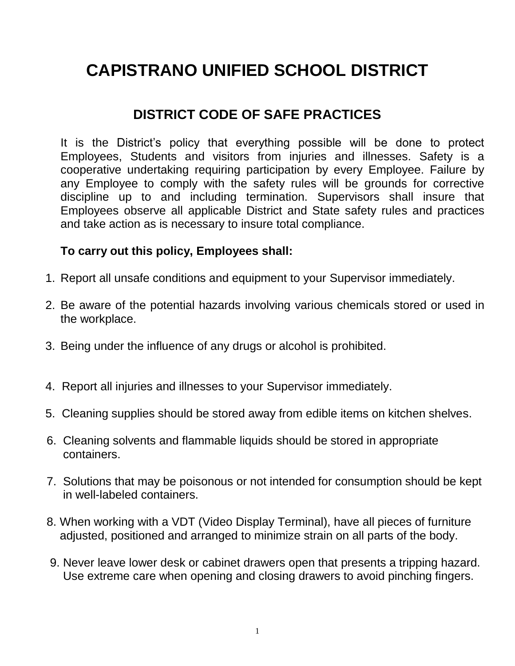## **CAPISTRANO UNIFIED SCHOOL DISTRICT**

## **DISTRICT CODE OF SAFE PRACTICES**

It is the District's policy that everything possible will be done to protect Employees, Students and visitors from injuries and illnesses. Safety is a cooperative undertaking requiring participation by every Employee. Failure by any Employee to comply with the safety rules will be grounds for corrective discipline up to and including termination. Supervisors shall insure that Employees observe all applicable District and State safety rules and practices and take action as is necessary to insure total compliance.

## **To carry out this policy, Employees shall:**

- 1. Report all unsafe conditions and equipment to your Supervisor immediately.
- 2. Be aware of the potential hazards involving various chemicals stored or used in the workplace.
- 3. Being under the influence of any drugs or alcohol is prohibited.
- 4. Report all injuries and illnesses to your Supervisor immediately.
- 5. Cleaning supplies should be stored away from edible items on kitchen shelves.
- 6. Cleaning solvents and flammable liquids should be stored in appropriate containers.
- 7. Solutions that may be poisonous or not intended for consumption should be kept in well-labeled containers.
- 8. When working with a VDT (Video Display Terminal), have all pieces of furniture adjusted, positioned and arranged to minimize strain on all parts of the body.
- 9. Never leave lower desk or cabinet drawers open that presents a tripping hazard. Use extreme care when opening and closing drawers to avoid pinching fingers.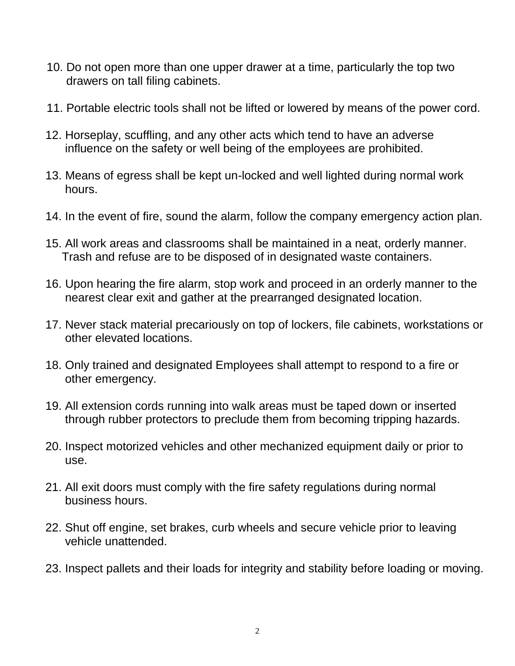- 10. Do not open more than one upper drawer at a time, particularly the top two drawers on tall filing cabinets.
- 11. Portable electric tools shall not be lifted or lowered by means of the power cord.
- 12. Horseplay, scuffling, and any other acts which tend to have an adverse influence on the safety or well being of the employees are prohibited.
- 13. Means of egress shall be kept un-locked and well lighted during normal work hours.
- 14. In the event of fire, sound the alarm, follow the company emergency action plan.
- 15. All work areas and classrooms shall be maintained in a neat, orderly manner. Trash and refuse are to be disposed of in designated waste containers.
- 16. Upon hearing the fire alarm, stop work and proceed in an orderly manner to the nearest clear exit and gather at the prearranged designated location.
- 17. Never stack material precariously on top of lockers, file cabinets, workstations or other elevated locations.
- 18. Only trained and designated Employees shall attempt to respond to a fire or other emergency.
- 19. All extension cords running into walk areas must be taped down or inserted through rubber protectors to preclude them from becoming tripping hazards.
- 20. Inspect motorized vehicles and other mechanized equipment daily or prior to use.
- 21. All exit doors must comply with the fire safety regulations during normal business hours.
- 22. Shut off engine, set brakes, curb wheels and secure vehicle prior to leaving vehicle unattended.
- 23. Inspect pallets and their loads for integrity and stability before loading or moving.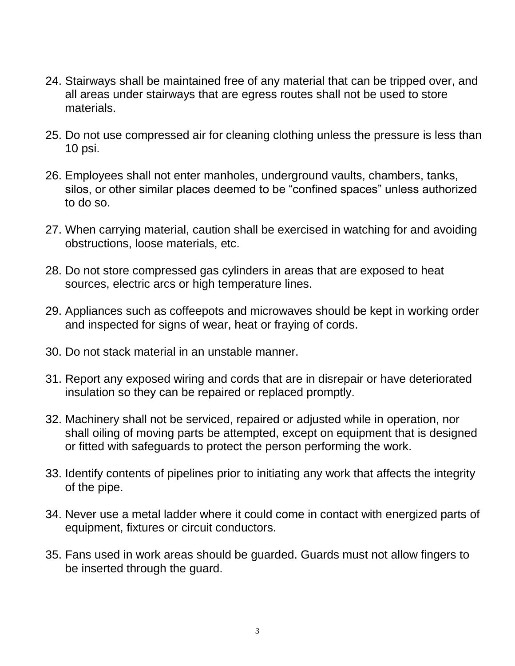- 24. Stairways shall be maintained free of any material that can be tripped over, and all areas under stairways that are egress routes shall not be used to store materials.
- 25. Do not use compressed air for cleaning clothing unless the pressure is less than 10 psi.
- 26. Employees shall not enter manholes, underground vaults, chambers, tanks, silos, or other similar places deemed to be "confined spaces" unless authorized to do so.
- 27. When carrying material, caution shall be exercised in watching for and avoiding obstructions, loose materials, etc.
- 28. Do not store compressed gas cylinders in areas that are exposed to heat sources, electric arcs or high temperature lines.
- 29. Appliances such as coffeepots and microwaves should be kept in working order and inspected for signs of wear, heat or fraying of cords.
- 30. Do not stack material in an unstable manner.
- 31. Report any exposed wiring and cords that are in disrepair or have deteriorated insulation so they can be repaired or replaced promptly.
- 32. Machinery shall not be serviced, repaired or adjusted while in operation, nor shall oiling of moving parts be attempted, except on equipment that is designed or fitted with safeguards to protect the person performing the work.
- 33. Identify contents of pipelines prior to initiating any work that affects the integrity of the pipe.
- 34. Never use a metal ladder where it could come in contact with energized parts of equipment, fixtures or circuit conductors.
- 35. Fans used in work areas should be guarded. Guards must not allow fingers to be inserted through the guard.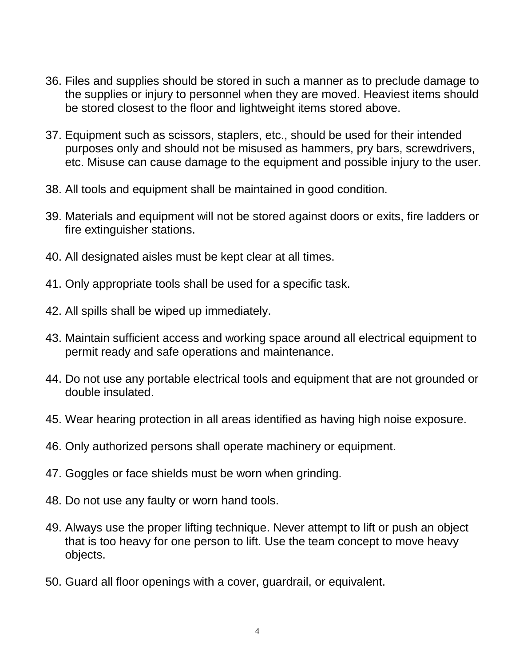- 36. Files and supplies should be stored in such a manner as to preclude damage to the supplies or injury to personnel when they are moved. Heaviest items should be stored closest to the floor and lightweight items stored above.
- 37. Equipment such as scissors, staplers, etc., should be used for their intended purposes only and should not be misused as hammers, pry bars, screwdrivers, etc. Misuse can cause damage to the equipment and possible injury to the user.
- 38. All tools and equipment shall be maintained in good condition.
- 39. Materials and equipment will not be stored against doors or exits, fire ladders or fire extinguisher stations.
- 40. All designated aisles must be kept clear at all times.
- 41. Only appropriate tools shall be used for a specific task.
- 42. All spills shall be wiped up immediately.
- 43. Maintain sufficient access and working space around all electrical equipment to permit ready and safe operations and maintenance.
- 44. Do not use any portable electrical tools and equipment that are not grounded or double insulated.
- 45. Wear hearing protection in all areas identified as having high noise exposure.
- 46. Only authorized persons shall operate machinery or equipment.
- 47. Goggles or face shields must be worn when grinding.
- 48. Do not use any faulty or worn hand tools.
- 49. Always use the proper lifting technique. Never attempt to lift or push an object that is too heavy for one person to lift. Use the team concept to move heavy objects.
- 50. Guard all floor openings with a cover, guardrail, or equivalent.